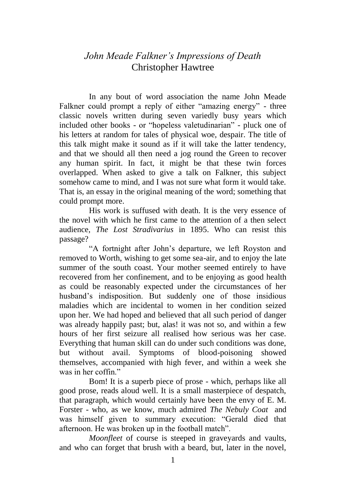## *John Meade Falkner's Impressions of Death* Christopher Hawtree

In any bout of word association the name John Meade Falkner could prompt a reply of either "amazing energy" - three classic novels written during seven variedly busy years which included other books - or "hopeless valetudinarian" - pluck one of his letters at random for tales of physical woe, despair. The title of this talk might make it sound as if it will take the latter tendency, and that we should all then need a jog round the Green to recover any human spirit. In fact, it might be that these twin forces overlapped. When asked to give a talk on Falkner, this subject somehow came to mind, and I was not sure what form it would take. That is, an essay in the original meaning of the word; something that could prompt more.

His work is suffused with death. It is the very essence of the novel with which he first came to the attention of a then select audience, *The Lost Stradivarius* in 1895. Who can resist this passage?

"A fortnight after John's departure, we left Royston and removed to Worth, wishing to get some sea-air, and to enjoy the late summer of the south coast. Your mother seemed entirely to have recovered from her confinement, and to be enjoying as good health as could be reasonably expected under the circumstances of her husband's indisposition. But suddenly one of those insidious maladies which are incidental to women in her condition seized upon her. We had hoped and believed that all such period of danger was already happily past; but, alas! it was not so, and within a few hours of her first seizure all realised how serious was her case. Everything that human skill can do under such conditions was done, but without avail. Symptoms of blood-poisoning showed themselves, accompanied with high fever, and within a week she was in her coffin."

Bom! It is a superb piece of prose - which, perhaps like all good prose, reads aloud well. It is a small masterpiece of despatch, that paragraph, which would certainly have been the envy of E. M. Forster - who, as we know, much admired *The Nebuly Coat* and was himself given to summary execution: "Gerald died that afternoon. He was broken up in the football match".

*Moonfleet* of course is steeped in graveyards and vaults, and who can forget that brush with a beard, but, later in the novel,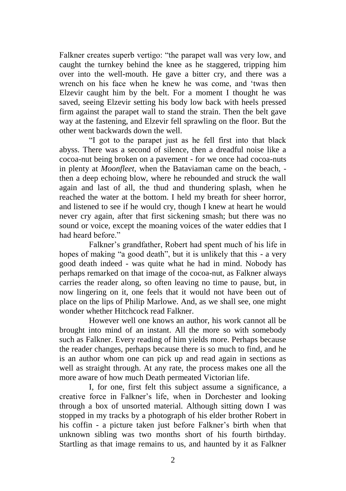Falkner creates superb vertigo: "the parapet wall was very low, and caught the turnkey behind the knee as he staggered, tripping him over into the well-mouth. He gave a bitter cry, and there was a wrench on his face when he knew he was come, and 'twas then Elzevir caught him by the belt. For a moment I thought he was saved, seeing Elzevir setting his body low back with heels pressed firm against the parapet wall to stand the strain. Then the belt gave way at the fastening, and Elzevir fell sprawling on the floor. But the other went backwards down the well.

"I got to the parapet just as he fell first into that black abyss. There was a second of silence, then a dreadful noise like a cocoa-nut being broken on a pavement - for we once had cocoa-nuts in plenty at *Moonfleet*, when the Bataviaman came on the beach, then a deep echoing blow, where he rebounded and struck the wall again and last of all, the thud and thundering splash, when he reached the water at the bottom. I held my breath for sheer horror, and listened to see if he would cry, though I knew at heart he would never cry again, after that first sickening smash; but there was no sound or voice, except the moaning voices of the water eddies that I had heard before."

Falkner's grandfather, Robert had spent much of his life in hopes of making "a good death", but it is unlikely that this - a very good death indeed - was quite what he had in mind. Nobody has perhaps remarked on that image of the cocoa-nut, as Falkner always carries the reader along, so often leaving no time to pause, but, in now lingering on it, one feels that it would not have been out of place on the lips of Philip Marlowe. And, as we shall see, one might wonder whether Hitchcock read Falkner.

However well one knows an author, his work cannot all be brought into mind of an instant. All the more so with somebody such as Falkner. Every reading of him yields more. Perhaps because the reader changes, perhaps because there is so much to find, and he is an author whom one can pick up and read again in sections as well as straight through. At any rate, the process makes one all the more aware of how much Death permeated Victorian life.

I, for one, first felt this subject assume a significance, a creative force in Falkner's life, when in Dorchester and looking through a box of unsorted material. Although sitting down I was stopped in my tracks by a photograph of his elder brother Robert in his coffin - a picture taken just before Falkner's birth when that unknown sibling was two months short of his fourth birthday. Startling as that image remains to us, and haunted by it as Falkner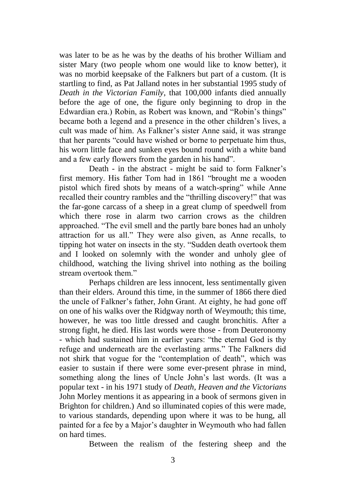was later to be as he was by the deaths of his brother William and sister Mary (two people whom one would like to know better), it was no morbid keepsake of the Falkners but part of a custom. (It is startling to find, as Pat Jalland notes in her substantial 1995 study of *Death in the Victorian Family*, that 100,000 infants died annually before the age of one, the figure only beginning to drop in the Edwardian era.) Robin, as Robert was known, and "Robin's things" became both a legend and a presence in the other children's lives, a cult was made of him. As Falkner's sister Anne said, it was strange that her parents "could have wished or borne to perpetuate him thus, his worn little face and sunken eyes bound round with a white band and a few early flowers from the garden in his hand".

Death - in the abstract - might be said to form Falkner's first memory. His father Tom had in 1861 "brought me a wooden pistol which fired shots by means of a watch-spring" while Anne recalled their country rambles and the "thrilling discovery!" that was the far-gone carcass of a sheep in a great clump of speedwell from which there rose in alarm two carrion crows as the children approached. "The evil smell and the partly bare bones had an unholy attraction for us all." They were also given, as Anne recalls, to tipping hot water on insects in the sty. "Sudden death overtook them and I looked on solemnly with the wonder and unholy glee of childhood, watching the living shrivel into nothing as the boiling stream overtook them."

Perhaps children are less innocent, less sentimentally given than their elders. Around this time, in the summer of 1866 there died the uncle of Falkner's father, John Grant. At eighty, he had gone off on one of his walks over the Ridgway north of Weymouth; this time, however, he was too little dressed and caught bronchitis. After a strong fight, he died. His last words were those - from Deuteronomy - which had sustained him in earlier years: "the eternal God is thy refuge and underneath are the everlasting arms." The Falkners did not shirk that vogue for the "contemplation of death", which was easier to sustain if there were some ever-present phrase in mind, something along the lines of Uncle John's last words. (It was a popular text - in his 1971 study of *Death, Heaven and the Victorians* John Morley mentions it as appearing in a book of sermons given in Brighton for children.) And so illuminated copies of this were made, to various standards, depending upon where it was to be hung, all painted for a fee by a Major's daughter in Weymouth who had fallen on hard times.

Between the realism of the festering sheep and the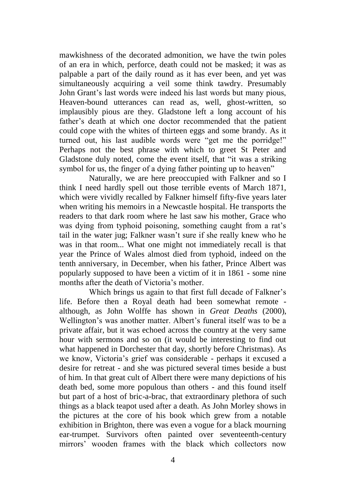mawkishness of the decorated admonition, we have the twin poles of an era in which, perforce, death could not be masked; it was as palpable a part of the daily round as it has ever been, and yet was simultaneously acquiring a veil some think tawdry. Presumably John Grant's last words were indeed his last words but many pious, Heaven-bound utterances can read as, well, ghost-written, so implausibly pious are they. Gladstone left a long account of his father's death at which one doctor recommended that the patient could cope with the whites of thirteen eggs and some brandy. As it turned out, his last audible words were "get me the porridge!" Perhaps not the best phrase with which to greet St Peter and Gladstone duly noted, come the event itself, that "it was a striking symbol for us, the finger of a dying father pointing up to heaven"

Naturally, we are here preoccupied with Falkner and so I think I need hardly spell out those terrible events of March 1871, which were vividly recalled by Falkner himself fifty-five years later when writing his memoirs in a Newcastle hospital. He transports the readers to that dark room where he last saw his mother, Grace who was dying from typhoid poisoning, something caught from a rat's tail in the water jug; Falkner wasn't sure if she really knew who he was in that room... What one might not immediately recall is that year the Prince of Wales almost died from typhoid, indeed on the tenth anniversary, in December, when his father, Prince Albert was popularly supposed to have been a victim of it in 1861 - some nine months after the death of Victoria's mother.

Which brings us again to that first full decade of Falkner's life. Before then a Royal death had been somewhat remote although, as John Wolffe has shown in *Great Deaths* (2000), Wellington's was another matter. Albert's funeral itself was to be a private affair, but it was echoed across the country at the very same hour with sermons and so on (it would be interesting to find out what happened in Dorchester that day, shortly before Christmas). As we know, Victoria's grief was considerable - perhaps it excused a desire for retreat - and she was pictured several times beside a bust of him. In that great cult of Albert there were many depictions of his death bed, some more populous than others - and this found itself but part of a host of bric-a-brac, that extraordinary plethora of such things as a black teapot used after a death. As John Morley shows in the pictures at the core of his book which grew from a notable exhibition in Brighton, there was even a vogue for a black mourning ear-trumpet. Survivors often painted over seventeenth-century mirrors' wooden frames with the black which collectors now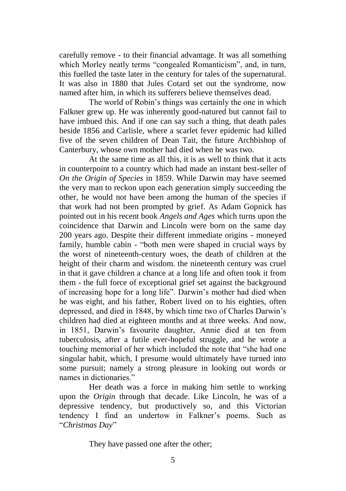carefully remove - to their financial advantage. It was all something which Morley neatly terms "congealed Romanticism", and, in turn, this fuelled the taste later in the century for tales of the supernatural. It was also in 1880 that Jules Cotard set out the syndrome, now named after him, in which its sufferers believe themselves dead.

The world of Robin's things was certainly the one in which Falkner grew up. He was inherently good-natured but cannot fail to have imbued this. And if one can say such a thing, that death pales beside 1856 and Carlisle, where a scarlet fever epidemic had killed five of the seven children of Dean Tait, the future Archbishop of Canterbury, whose own mother had died when he was two.

At the same time as all this, it is as well to think that it acts in counterpoint to a country which had made an instant best-seller of *On the Origin of Species* in 1859. While Darwin may have seemed the very man to reckon upon each generation simply succeeding the other, he would not have been among the human of the species if that work had not been prompted by grief. As Adam Gopnick has pointed out in his recent book *Angels and Ages* which turns upon the coincidence that Darwin and Lincoln were born on the same day 200 years ago. Despite their different immediate origins - moneyed family, humble cabin - "both men were shaped in crucial ways by the worst of nineteenth-century woes, the death of children at the height of their charm and wisdom. the nineteenth century was cruel in that it gave children a chance at a long life and often took it from them - the full force of exceptional grief set against the background of increasing hope for a long life". Darwin's mother had died when he was eight, and his father, Robert lived on to his eighties, often depressed, and died in 1848, by which time two of Charles Darwin's children had died at eighteen months and at three weeks. And now, in 1851, Darwin's favourite daughter, Annie died at ten from tuberculosis, after a futile ever-hopeful struggle, and he wrote a touching memorial of her which included the note that "she had one singular habit, which, I presume would ultimately have turned into some pursuit; namely a strong pleasure in looking out words or names in dictionaries."

Her death was a force in making him settle to working upon the *Origin* through that decade. Like Lincoln, he was of a depressive tendency, but productively so, and this Victorian tendency I find an undertow in Falkner's poems. Such as "*Christmas Day*"

They have passed one after the other;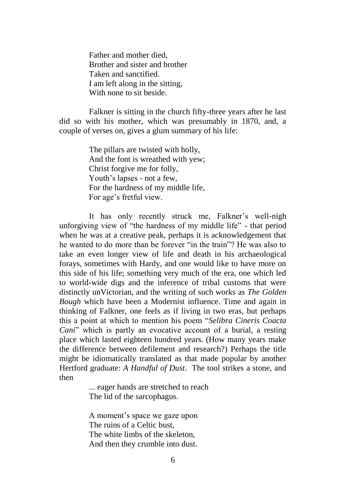Father and mother died, Brother and sister and brother Taken and sanctified. I am left along in the sitting, With none to sit beside.

Falkner is sitting in the church fifty-three years after he last did so with his mother, which was presumably in 1870, and, a couple of verses on, gives a glum summary of his life:

> The pillars are twisted with holly, And the font is wreathed with yew; Christ forgive me for folly, Youth's lapses - not a few, For the hardness of my middle life, For age's fretful view.

It has only recently struck me, Falkner's well-nigh unforgiving view of "the hardness of my middle life" - that period when he was at a creative peak, perhaps it is acknowledgement that he wanted to do more than be forever "in the train"? He was also to take an even longer view of life and death in his archaeological forays, sometimes with Hardy, and one would like to have more on this side of his life; something very much of the era, one which led to world-wide digs and the inference of tribal customs that were distinctly unVictorian, and the writing of such works as *The Golden Bough* which have been a Modernist influence. Time and again in thinking of Falkner, one feels as if living in two eras, but perhaps this a point at which to mention his poem "*Selibra Cineris Coacta Cani*" which is partly an evocative account of a burial, a resting place which lasted eighteen hundred years. (How many years make the difference between defilement and research?) Perhaps the title might be idiomatically translated as that made popular by another Hertford graduate: *A Handful of Dust*. The tool strikes a stone, and then

> ... eager hands are stretched to reach The lid of the sarcophagus.

A moment's space we gaze upon The ruins of a Celtic bust, The white limbs of the skeleton, And then they crumble into dust.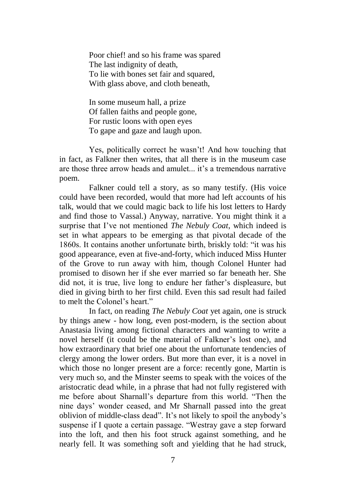Poor chief! and so his frame was spared The last indignity of death, To lie with bones set fair and squared, With glass above, and cloth beneath.

In some museum hall, a prize Of fallen faiths and people gone, For rustic loons with open eyes To gape and gaze and laugh upon.

Yes, politically correct he wasn't! And how touching that in fact, as Falkner then writes, that all there is in the museum case are those three arrow heads and amulet it's a tremendous narrative poem.

Falkner could tell a story, as so many testify. (His voice could have been recorded, would that more had left accounts of his talk, would that we could magic back to life his lost letters to Hardy and find those to Vassal.) Anyway, narrative. You might think it a surprise that I've not mentioned *The Nebuly Coat*, which indeed is set in what appears to be emerging as that pivotal decade of the 1860s. It contains another unfortunate birth, briskly told: "it was his good appearance, even at five-and-forty, which induced Miss Hunter of the Grove to run away with him, though Colonel Hunter had promised to disown her if she ever married so far beneath her. She did not, it is true, live long to endure her father's displeasure, but died in giving birth to her first child. Even this sad result had failed to melt the Colonel's heart."

In fact, on reading *The Nebuly Coat* yet again, one is struck by things anew - how long, even post-modern, is the section about Anastasia living among fictional characters and wanting to write a novel herself (it could be the material of Falkner's lost one), and how extraordinary that brief one about the unfortunate tendencies of clergy among the lower orders. But more than ever, it is a novel in which those no longer present are a force: recently gone, Martin is very much so, and the Minster seems to speak with the voices of the aristocratic dead while, in a phrase that had not fully registered with me before about Sharnall's departure from this world. "Then the nine days' wonder ceased, and Mr Sharnall passed into the great oblivion of middle-class dead". It's not likely to spoil the anybody's suspense if I quote a certain passage. "Westray gave a step forward into the loft, and then his foot struck against something, and he nearly fell. It was something soft and yielding that he had struck,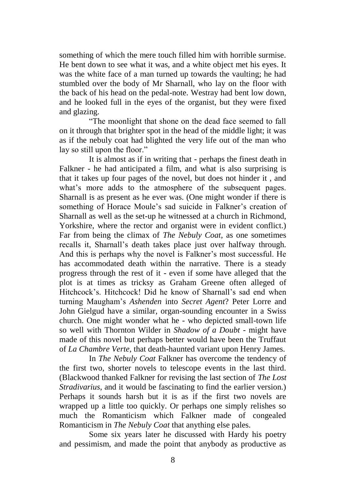something of which the mere touch filled him with horrible surmise. He bent down to see what it was, and a white object met his eyes. It was the white face of a man turned up towards the vaulting; he had stumbled over the body of Mr Sharnall, who lay on the floor with the back of his head on the pedal-note. Westray had bent low down, and he looked full in the eyes of the organist, but they were fixed and glazing.

"The moonlight that shone on the dead face seemed to fall on it through that brighter spot in the head of the middle light; it was as if the nebuly coat had blighted the very life out of the man who lay so still upon the floor."

It is almost as if in writing that - perhaps the finest death in Falkner - he had anticipated a film, and what is also surprising is that it takes up four pages of the novel, but does not hinder it , and what's more adds to the atmosphere of the subsequent pages. Sharnall is as present as he ever was. (One might wonder if there is something of Horace Moule's sad suicide in Falkner's creation of Sharnall as well as the set-up he witnessed at a church in Richmond, Yorkshire, where the rector and organist were in evident conflict.) Far from being the climax of *The Nebuly Coat*, as one sometimes recalls it, Sharnall's death takes place just over halfway through. And this is perhaps why the novel is Falkner's most successful. He has accommodated death within the narrative. There is a steady progress through the rest of it - even if some have alleged that the plot is at times as tricksy as Graham Greene often alleged of Hitchcock's. Hitchcock! Did he know of Sharnall's sad end when turning Maugham's *Ashenden* into *Secret Agent*? Peter Lorre and John Gielgud have a similar, organ-sounding encounter in a Swiss church. One might wonder what he - who depicted small-town life so well with Thornton Wilder in *Shadow of a Doubt* - might have made of this novel but perhaps better would have been the Truffaut of *La Chambre Verte*, that death-haunted variant upon Henry James.

In *The Nebuly Coat* Falkner has overcome the tendency of the first two, shorter novels to telescope events in the last third. (Blackwood thanked Falkner for revising the last section of *The Lost Stradivarius*, and it would be fascinating to find the earlier version.) Perhaps it sounds harsh but it is as if the first two novels are wrapped up a little too quickly. Or perhaps one simply relishes so much the Romanticism which Falkner made of congealed Romanticism in *The Nebuly Coat* that anything else pales.

Some six years later he discussed with Hardy his poetry and pessimism, and made the point that anybody as productive as